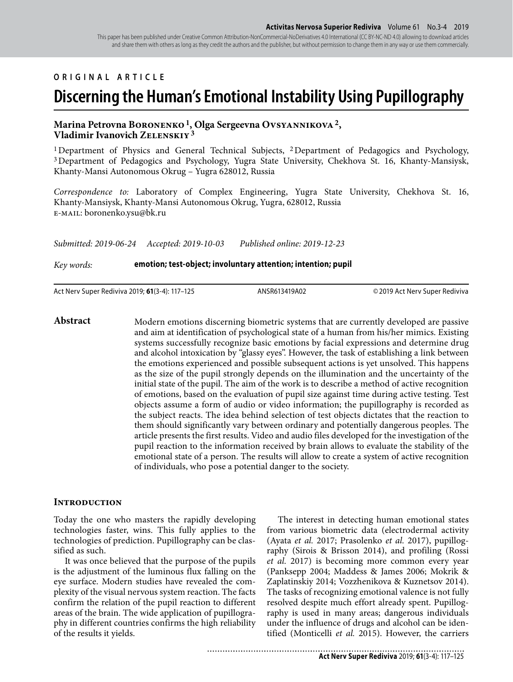#### **ORIGINAL ARTICLE**

# **Discerning the Human's Emotional Instability Using Pupillography**

#### **Marina Petrovna Boronenko 1, Olga Sergeevna Ovsyannikova 2, Vladimir Ivanovich Zelenskiy 3**

<sup>1</sup>Department of Physics and General Technical Subjects, <sup>2</sup>Department of Pedagogics and Psychology, 3 Department of Pedagogics and Psychology, Yugra State University, Chekhova St. 16, Khanty-Mansiysk, Khanty-Mansi Autonomous Okrug – Yugra 628012, Russia

*Correspondence to:* Laboratory of Complex Engineering, Yugra State University, Chekhova St. 16, Khanty-Mansiysk, Khanty-Mansi Autonomous Okrug, Yugra, 628012, Russia e-mail: boronenko.ysu@bk.ru

*Submitted: 2019-06-24 Accepted: 2019-10-03 Published online: 2019-12-23*

#### *Key words:* **emotion; test-object; involuntary attention; intention; pupil**

Act Nerv Super Rediviva 2019; **61**(3-4): 117–125 ANSR613419A02 © 2019 Act Nerv Super Rediviva

Abstract Modern emotions discerning biometric systems that are currently developed are passive and aim at identification of psychological state of a human from his/her mimics. Existing systems successfully recognize basic emotions by facial expressions and determine drug and alcohol intoxication by "glassy eyes". However, the task of establishing a link between the emotions experienced and possible subsequent actions is yet unsolved. This happens as the size of the pupil strongly depends on the illumination and the uncertainty of the initial state of the pupil. The aim of the work is to describe a method of active recognition of emotions, based on the evaluation of pupil size against time during active testing. Test objects assume a form of audio or video information; the pupillography is recorded as the subject reacts. The idea behind selection of test objects dictates that the reaction to them should significantly vary between ordinary and potentially dangerous peoples. The article presents the first results. Video and audio files developed for the investigation of the pupil reaction to the information received by brain allows to evaluate the stability of the emotional state of a person. The results will allow to create a system of active recognition of individuals, who pose a potential danger to the society.

## **Introduction**

Today the one who masters the rapidly developing technologies faster, wins. This fully applies to the technologies of prediction. Pupillography can be classified as such.

It was once believed that the purpose of the pupils is the adjustment of the luminous flux falling on the eye surface. Modern studies have revealed the complexity of the visual nervous system reaction. The facts confirm the relation of the pupil reaction to different areas of the brain. The wide application of pupillography in different countries confirms the high reliability of the results it yields.

The interest in detecting human emotional states from various biometric data (electrodermal activity (Ayata *et al.* 2017; Prasolenko *et al.* 2017), pupillography (Sirois & Brisson 2014), and profiling (Rossi *et al.* 2017) is becoming more common every year (Panksepp 2004; Maddess & James 2006; Mokrik & Zaplatinskiy 2014; Vozzhenikova & Kuznetsov 2014). The tasks of recognizing emotional valence is not fully resolved despite much effort already spent. Pupillography is used in many areas; dangerous individuals under the influence of drugs and alcohol can be identified (Monticelli *et al.* 2015). However, the carriers

...................................... **Act Nerv Super Rediviva** 2019; **61**(3-4): 117–125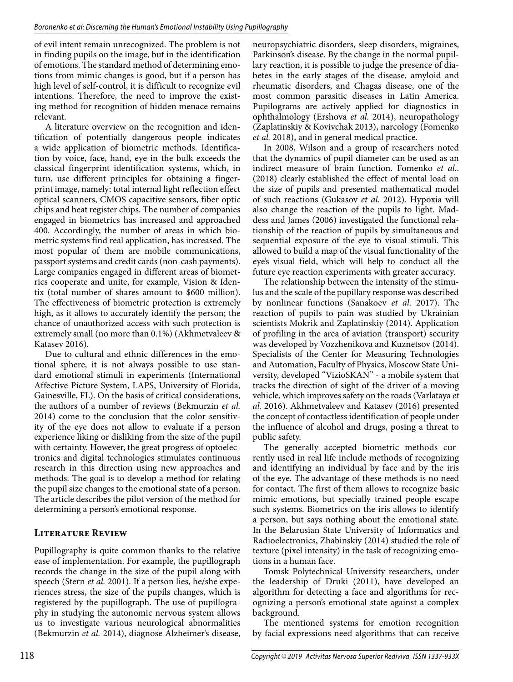of evil intent remain unrecognized. The problem is not in finding pupils on the image, but in the identification of emotions. The standard method of determining emotions from mimic changes is good, but if a person has high level of self-control, it is difficult to recognize evil intentions. Therefore, the need to improve the existing method for recognition of hidden menace remains relevant.

A literature overview on the recognition and identification of potentially dangerous people indicates a wide application of biometric methods. Identification by voice, face, hand, eye in the bulk exceeds the classical fingerprint identification systems, which, in turn, use different principles for obtaining a fingerprint image, namely: total internal light reflection effect optical scanners, CMOS capacitive sensors, fiber optic chips and heat register chips. The number of companies engaged in biometrics has increased and approached 400. Accordingly, the number of areas in which biometric systems find real application, has increased. The most popular of them are mobile communications, passport systems and credit cards (non-cash payments). Large companies engaged in different areas of biometrics cooperate and unite, for example, Vision & Identix (total number of shares amount to \$600 million). The effectiveness of biometric protection is extremely high, as it allows to accurately identify the person; the chance of unauthorized access with such protection is extremely small (no more than 0.1%) (Akhmetvaleev & Katasev 2016).

Due to cultural and ethnic differences in the emotional sphere, it is not always possible to use standard emotional stimuli in experiments (International Affective Picture System, LAPS, University of Florida, Gainesville, FL). On the basis of critical considerations, the authors of a number of reviews (Bekmurzin *et al.* 2014) come to the conclusion that the color sensitivity of the eye does not allow to evaluate if a person experience liking or disliking from the size of the pupil with certainty. However, the great progress of optoelectronics and digital technologies stimulates continuous research in this direction using new approaches and methods. The goal is to develop a method for relating the pupil size changes to the emotional state of a person. The article describes the pilot version of the method for determining a person's emotional response.

# **Literature Review**

Pupillography is quite common thanks to the relative ease of implementation. For example, the pupillograph records the change in the size of the pupil along with speech (Stern *et al.* 2001). If a person lies, he/she experiences stress, the size of the pupils changes, which is registered by the pupillograph. The use of pupillography in studying the autonomic nervous system allows us to investigate various neurological abnormalities (Bekmurzin *et al.* 2014), diagnose Alzheimer's disease,

neuropsychiatric disorders, sleep disorders, migraines, Parkinson's disease. By the change in the normal pupillary reaction, it is possible to judge the presence of diabetes in the early stages of the disease, amyloid and rheumatic disorders, and Chagas disease, one of the most common parasitic diseases in Latin America. Pupilograms are actively applied for diagnostics in ophthalmology (Ershova *et al.* 2014), neuropathology (Zaplatinskiy & Kovivchak 2013), narcology (Fomenko *et al.* 2018), and in general medical practice.

In 2008, Wilson and a group of researchers noted that the dynamics of pupil diameter can be used as an indirect measure of brain function. Fomenko *et al.*. (2018) clearly established the effect of mental load on the size of pupils and presented mathematical model of such reactions (Gukasov *et al.* 2012). Hypoxia will also change the reaction of the pupils to light. Maddess and James (2006) investigated the functional relationship of the reaction of pupils by simultaneous and sequential exposure of the eye to visual stimuli. This allowed to build a map of the visual functionality of the eye's visual field, which will help to conduct all the future eye reaction experiments with greater accuracy.

The relationship between the intensity of the stimulus and the scale of the pupillary response was described by nonlinear functions (Sanakoev *et al.* 2017). The reaction of pupils to pain was studied by Ukrainian scientists Mokrik and Zaplatinskiy (2014). Application of profiling in the area of aviation (transport) security was developed by Vozzhenikova and Kuznetsov (2014). Specialists of the Center for Measuring Technologies and Automation, Faculty of Physics, Moscow State University, developed "VizioSKAN" - a mobile system that tracks the direction of sight of the driver of a moving vehicle, which improves safety on the roads (Varlataya *et al.* 2016). Akhmetvaleev and Katasev (2016) presented the concept of contactless identification of people under the influence of alcohol and drugs, posing a threat to public safety.

The generally accepted biometric methods currently used in real life include methods of recognizing and identifying an individual by face and by the iris of the eye. The advantage of these methods is no need for contact. The first of them allows to recognize basic mimic emotions, but specially trained people escape such systems. Biometrics on the iris allows to identify a person, but says nothing about the emotional state. In the Belarusian State University of Informatics and Radioelectronics, Zhabinskiy (2014) studied the role of texture (pixel intensity) in the task of recognizing emotions in a human face.

Tomsk Polytechnical University researchers, under the leadership of Druki (2011), have developed an algorithm for detecting a face and algorithms for recognizing a person's emotional state against a complex background.

The mentioned systems for emotion recognition by facial expressions need algorithms that can receive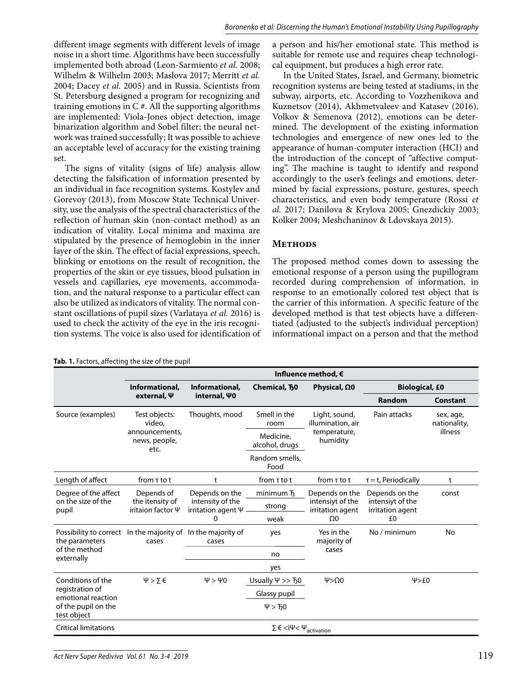different image segments with different levels of image noise in a short time. Algorithms have been successfully implemented both abroad (Leon-Sarmiento *et al.* 2008; Wilhelm & Wilhelm 2003; Maslova 2017; Merritt *et al.* 2004; Dacey *et al.* 2005) and in Russia. Scientists from St. Petersburg designed a program for recognizing and training emotions in  $C \#$ . All the supporting algorithms are implemented: Viola-Jones object detection, image binarization algorithm and Sobel filter; the neural network was trained successfully; It was possible to achieve an acceptable level of accuracy for the existing training set.

The signs of vitality (signs of life) analysis allow detecting the falsification of information presented by an individual in face recognition systems. Kostylev and Gorevoy (2013), from Moscow State Technical University, use the analysis of the spectral characteristics of the reflection of human skin (non-contact method) as an indication of vitality. Local minima and maxima are stipulated by the presence of hemoglobin in the inner layer of the skin. The effect of facial expressions, speech, blinking or emotions on the result of recognition, the properties of the skin or eye tissues, blood pulsation in vessels and capillaries, eye movements, accommodation, and the natural response to a particular effect can also be utilized as indicators of vitality. The normal constant oscillations of pupil sizes (Varlataya *et al.* 2016) is used to check the activity of the eye in the iris recognition systems. The voice is also used for identification of

**Tab. 1.** Factors, affecting the size of the pupil

a person and his/her emotional state. This method is suitable for remote use and requires cheap technological equipment, but produces a high error rate.

In the United States, Israel, and Germany, biometric recognition systems are being tested at stadiums, in the subway, airports, etc. According to Vozzhenikova and Kuznetsov (2014), Akhmetvaleev and Katasev (2016), Volkov & Semenova (2012), emotions can be determined. The development of the existing information technologies and emergence of new ones led to the appearance of human-computer interaction (HCI) and the introduction of the concept of "affective computing". The machine is taught to identify and respond accordingly to the user's feelings and emotions, determined by facial expressions, posture, gestures, speech characteristics, and even body temperature (Rossi *et al.* 2017; Danilova & Krylova 2005; Gnezdickiy 2003; Kolker 2004; Meshchaninov & Ldovskaya 2015).

# **Methods**

The proposed method comes down to assessing the emotional response of a person using the pupillogram recorded during comprehension of information, in response to an emotionally colored test object that is the carrier of this information. A specific feature of the developed method is that test objects have a differentiated (adjusted to the subject's individual perception) informational impact on a person and that the method

|                                                                                                  | Influence method, €                                                |                                                                      |                                    |                                                                      |                                                              |                                      |
|--------------------------------------------------------------------------------------------------|--------------------------------------------------------------------|----------------------------------------------------------------------|------------------------------------|----------------------------------------------------------------------|--------------------------------------------------------------|--------------------------------------|
|                                                                                                  | Informational,<br>external, Ψ                                      | Informational,<br>internal, \0                                       | Chemical, 50                       | Physical, $\Omega$ 0                                                 | <b>Biological, £0</b>                                        |                                      |
|                                                                                                  |                                                                    |                                                                      |                                    |                                                                      | Random                                                       | <b>Constant</b>                      |
| Source (examples)                                                                                | Test objects:<br>video,<br>announcements,<br>news, people,<br>etc. | Thoughts, mood                                                       | Smell in the<br>room               | Light, sound,<br>illumination, air<br>temperature,<br>humidity       | Pain attacks                                                 | sex, age,<br>nationality,<br>illness |
|                                                                                                  |                                                                    |                                                                      | Medicine,<br>alcohol, drugs        |                                                                      |                                                              |                                      |
|                                                                                                  |                                                                    |                                                                      | Random smells.<br>Food             |                                                                      |                                                              |                                      |
| Length of affect                                                                                 | from $\tau$ to t                                                   | t                                                                    | from $\tau$ to t                   | from $\tau$ to t                                                     | $\tau$ = t, Periodically                                     | t                                    |
| Degree of the affect<br>on the size of the<br>pupil                                              | Depends of<br>the itensity of<br>iritaion factor $\Psi$            | Depends on the<br>intensity of the<br>irritation agent $\Psi$ -<br>0 | minimum <b>T</b><br>strong<br>weak | Depends on the<br>intensiyt of the<br>irritation agent<br>$\Omega 0$ | Depends on the<br>intensiyt of the<br>irritation agent<br>£0 | const                                |
| Possibility to correct<br>the parameters<br>of the method<br>externally                          | In the majority of In the majority of<br>cases                     | cases                                                                | yes                                | Yes in the<br>majority of<br>cases                                   | No / minimum                                                 | No                                   |
|                                                                                                  |                                                                    |                                                                      | no                                 |                                                                      |                                                              |                                      |
|                                                                                                  |                                                                    |                                                                      | yes                                |                                                                      |                                                              |                                      |
| Conditions of the<br>registration of<br>emotional reaction<br>of the pupil on the<br>test object | $\Psi > \Sigma \in$                                                | $\Psi$ > $\Psi$ 0                                                    | Usually $\Psi >> 50$               | $\Psi > \Omega 0$                                                    | V > £0                                                       |                                      |
|                                                                                                  |                                                                    |                                                                      | Glassy pupil                       |                                                                      |                                                              |                                      |
|                                                                                                  |                                                                    |                                                                      | $\Psi$ > $F$ <sub>0</sub>          |                                                                      |                                                              |                                      |
| <b>Critical limitations</b>                                                                      | $\Sigma \in \langle i \Psi \rangle \Psi_{\text{activation}}$       |                                                                      |                                    |                                                                      |                                                              |                                      |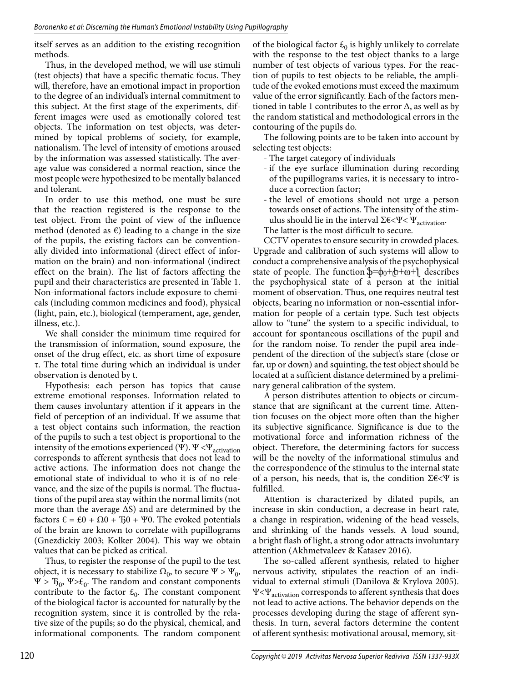itself serves as an addition to the existing recognition methods.

Thus, in the developed method, we will use stimuli (test objects) that have a specific thematic focus. They will, therefore, have an emotional impact in proportion to the degree of an individual's internal commitment to this subject. At the first stage of the experiments, different images were used as emotionally colored test objects. The information on test objects, was determined by topical problems of society, for example, nationalism. The level of intensity of emotions aroused by the information was assessed statistically. The average value was considered a normal reaction, since the most people were hypothesized to be mentally balanced and tolerant.

In order to use this method, one must be sure that the reaction registered is the response to the test object. From the point of view of the influence method (denoted as  $\epsilon$ ) leading to a change in the size of the pupils, the existing factors can be conventionally divided into informational (direct effect of information on the brain) and non-informational (indirect effect on the brain). The list of factors affecting the pupil and their characteristics are presented in Table 1. Non-informational factors include exposure to chemicals (including common medicines and food), physical (light, pain, etc.), biological (temperament, age, gender, illness, etc.).

We shall consider the minimum time required for the transmission of information, sound exposure, the onset of the drug effect, etc. as short time of exposure τ. The total time during which an individual is under observation is denoted by t.

Hypothesis: each person has topics that cause extreme emotional responses. Information related to them causes involuntary attention if it appears in the field of perception of an individual. If we assume that a test object contains such information, the reaction of the pupils to such a test object is proportional to the intensity of the emotions experienced (Ψ).  $\Psi < \Psi_{\text{activation}}$ corresponds to afferent synthesis that does not lead to active actions. The information does not change the emotional state of individual to who it is of no relevance, and the size of the pupils is normal. The fluctuations of the pupil area stay within the normal limits (not more than the average  $\Delta S$ ) and are determined by the factors  $\epsilon = \epsilon_0 + \Omega_0 + \Omega_0 + \Psi_0$ . The evoked potentials of the brain are known to correlate with pupillograms (Gnezdickiy 2003; Kolker 2004). This way we obtain values that can be picked as critical.

Thus, to register the response of the pupil to the test object, it is necessary to stabilize  $\Omega_0$ , to secure  $\Psi > \Psi_0$ , Ψ >  $T_0$ , Ψ> $E_0$ . The random and constant components contribute to the factor  $\mathcal{E}_0$ . The constant component of the biological factor is accounted for naturally by the recognition system, since it is controlled by the relative size of the pupils; so do the physical, chemical, and informational components. The random component of the biological factor  $\mathcal{L}_0$  is highly unlikely to correlate with the response to the test object thanks to a large number of test objects of various types. For the reaction of pupils to test objects to be reliable, the amplitude of the evoked emotions must exceed the maximum value of the error significantly. Each of the factors mentioned in table 1 contributes to the error  $\Delta$ , as well as by the random statistical and methodological errors in the contouring of the pupils do.

The following points are to be taken into account by selecting test objects:

- The target category of individuals
- if the eye surface illumination during recording of the pupillograms varies, it is necessary to introduce a correction factor;
- the level of emotions should not urge a person towards onset of actions. The intensity of the stimulus should lie in the interval  $\Sigma \in \langle \Psi \rangle \langle \Psi_{\text{activation}} \rangle$ .
- The latter is the most difficult to secure.

CCTV operates to ensure security in crowded places. Upgrade and calibration of such systems will allow to conduct a comprehensive analysis of the psychophysical state of people. The function  $\frac{1}{\phi} = \phi_0 + \frac{1}{\phi} + \omega + \frac{1}{\phi}$  describes the psychophysical state of a person at the initial moment of observation. Thus, one requires neutral test objects, bearing no information or non-essential information for people of a certain type. Such test objects allow to "tune" the system to a specific individual, to account for spontaneous oscillations of the pupil and for the random noise. To render the pupil area independent of the direction of the subject's stare (close or far, up or down) and squinting, the test object should be located at a sufficient distance determined by a preliminary general calibration of the system.

A person distributes attention to objects or circumstance that are significant at the current time. Attention focuses on the object more often than the higher its subjective significance. Significance is due to the motivational force and information richness of the object. Therefore, the determining factors for success will be the novelty of the informational stimulus and the correspondence of the stimulus to the internal state of a person, his needs, that is, the condition  $\Sigma \in \langle \Psi \rangle$  is fulfilled.

Attention is characterized by dilated pupils, an increase in skin conduction, a decrease in heart rate, a change in respiration, widening of the head vessels, and shrinking of the hands vessels. A loud sound, a bright flash of light, a strong odor attracts involuntary attention (Akhmetvaleev & Katasev 2016).

The so-called afferent synthesis, related to higher nervous activity, stipulates the reaction of an individual to external stimuli (Danilova & Krylova 2005). Ψ<Ψ<sub>activation</sub> corresponds to afferent synthesis that does not lead to active actions. The behavior depends on the processes developing during the stage of afferent synthesis. In turn, several factors determine the content of afferent synthesis: motivational arousal, memory, sit-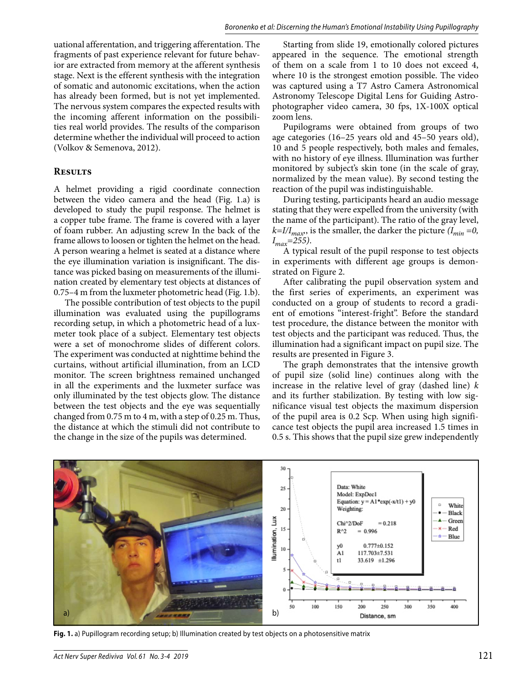uational afferentation, and triggering afferentation. The fragments of past experience relevant for future behavior are extracted from memory at the afferent synthesis stage. Next is the efferent synthesis with the integration of somatic and autonomic excitations, when the action has already been formed, but is not yet implemented. The nervous system compares the expected results with the incoming afferent information on the possibilities real world provides. The results of the comparison determine whether the individual will proceed to action (Volkov & Semenova, 2012).

#### **Results**

A helmet providing a rigid coordinate connection between the video camera and the head (Fig. 1.a) is developed to study the pupil response. The helmet is a copper tube frame. The frame is covered with a layer of foam rubber. An adjusting screw In the back of the frame allows to loosen or tighten the helmet on the head. A person wearing a helmet is seated at a distance where the eye illumination variation is insignificant. The distance was picked basing on measurements of the illumination created by elementary test objects at distances of 0.75–4 m from the luxmeter photometric head (Fig. 1.b).

The possible contribution of test objects to the pupil illumination was evaluated using the pupillograms recording setup, in which a photometric head of a luxmeter took place of a subject. Elementary test objects were a set of monochrome slides of different colors. The experiment was conducted at nighttime behind the curtains, without artificial illumination, from an LCD monitor. The screen brightness remained unchanged in all the experiments and the luxmeter surface was only illuminated by the test objects glow. The distance between the test objects and the eye was sequentially changed from 0.75 m to 4 m, with a step of 0.25 m. Thus, the distance at which the stimuli did not contribute to the change in the size of the pupils was determined.

Starting from slide 19, emotionally colored pictures appeared in the sequence. The emotional strength of them on a scale from 1 to 10 does not exceed 4, where 10 is the strongest emotion possible. The video was captured using a T7 Astro Camera Astronomical Astronomy Telescope Digital Lens for Guiding Astrophotographer video camera, 30 fps, 1X-100X optical zoom lens.

Pupilograms were obtained from groups of two age categories (16–25 years old and 45–50 years old), 10 and 5 people respectively, both males and females, with no history of eye illness. Illumination was further monitored by subject's skin tone (in the scale of gray, normalized by the mean value). By second testing the reaction of the pupil was indistinguishable.

During testing, participants heard an audio message stating that they were expelled from the university (with the name of the participant). The ratio of the gray level,  $k=1/I_{max}$ , is the smaller, the darker the picture  $(I_{min}=0,$ *Imax=255)*.

A typical result of the pupil response to test objects in experiments with different age groups is demonstrated on Figure 2.

After calibrating the pupil observation system and the first series of experiments, an experiment was conducted on a group of students to record a gradient of emotions "interest-fright". Before the standard test procedure, the distance between the monitor with test objects and the participant was reduced. Thus, the illumination had a significant impact on pupil size. The results are presented in Figure 3.

The graph demonstrates that the intensive growth of pupil size (solid line) continues along with the increase in the relative level of gray (dashed line) *k* and its further stabilization. By testing with low significance visual test objects the maximum dispersion of the pupil area is 0.2 Scp. When using high significance test objects the pupil area increased 1.5 times in 0.5 s. This shows that the pupil size grew independently



**Fig. 1.** a) Pupillogram recording setup; b) Illumination created by test objects on a photosensitive matrix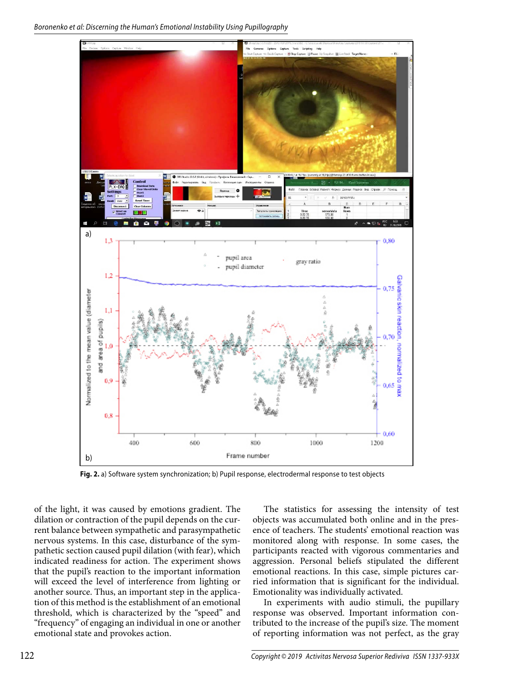

**Fig. 2.** a) Software system synchronization; b) Pupil response, electrodermal response to test objects

of the light, it was caused by emotions gradient. The dilation or contraction of the pupil depends on the current balance between sympathetic and parasympathetic nervous systems. In this case, disturbance of the sympathetic section caused pupil dilation (with fear), which indicated readiness for action. The experiment shows that the pupil's reaction to the important information will exceed the level of interference from lighting or another source. Thus, an important step in the application of this method is the establishment of an emotional threshold, which is characterized by the "speed" and "frequency" of engaging an individual in one or another emotional state and provokes action.

The statistics for assessing the intensity of test objects was accumulated both online and in the presence of teachers. The students' emotional reaction was monitored along with response. In some cases, the participants reacted with vigorous commentaries and aggression. Personal beliefs stipulated the different emotional reactions. In this case, simple pictures carried information that is significant for the individual. Emotionality was individually activated.

In experiments with audio stimuli, the pupillary response was observed. Important information contributed to the increase of the pupil's size. The moment of reporting information was not perfect, as the gray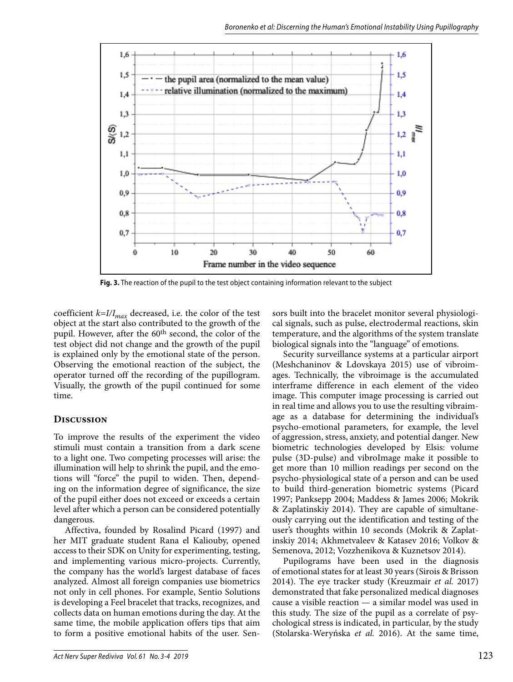

**Fig. 3.** The reaction of the pupil to the test object containing information relevant to the subject

coefficient  $k=I/I_{max}$  decreased, i.e. the color of the test object at the start also contributed to the growth of the pupil. However, after the 60th second, the color of the test object did not change and the growth of the pupil is explained only by the emotional state of the person. Observing the emotional reaction of the subject, the operator turned off the recording of the pupillogram. Visually, the growth of the pupil continued for some time.

## **Discussion**

To improve the results of the experiment the video stimuli must contain a transition from a dark scene to a light one. Two competing processes will arise: the illumination will help to shrink the pupil, and the emotions will "force" the pupil to widen. Then, depending on the information degree of significance, the size of the pupil either does not exceed or exceeds a certain level after which a person can be considered potentially dangerous.

Affectiva, founded by Rosalind Picard (1997) and her MIT graduate student Rana el Kaliouby, opened access to their SDK on Unity for experimenting, testing, and implementing various micro-projects. Currently, the company has the world's largest database of faces analyzed. Almost all foreign companies use biometrics not only in cell phones. For example, Sentio Solutions is developing a Feel bracelet that tracks, recognizes, and collects data on human emotions during the day. At the same time, the mobile application offers tips that aim to form a positive emotional habits of the user. Sensors built into the bracelet monitor several physiological signals, such as pulse, electrodermal reactions, skin temperature, and the algorithms of the system translate biological signals into the "language" of emotions.

Security surveillance systems at a particular airport (Meshchaninov & Ldovskaya 2015) use of vibroimages. Technically, the vibroimage is the accumulated interframe difference in each element of the video image. This computer image processing is carried out in real time and allows you to use the resulting vibraimage as a database for determining the individual's psycho-emotional parameters, for example, the level of aggression, stress, anxiety, and potential danger. New biometric technologies developed by Elsis: volume pulse (3D-pulse) and vibroImage make it possible to get more than 10 million readings per second on the psycho-physiological state of a person and can be used to build third-generation biometric systems (Picard 1997; Panksepp 2004; Maddess & James 2006; Mokrik & Zaplatinskiy 2014). They are capable of simultaneously carrying out the identification and testing of the user's thoughts within 10 seconds (Mokrik & Zaplatinskiy 2014; Akhmetvaleev & Katasev 2016; Volkov & Semenova, 2012; Vozzhenikova & Kuznetsov 2014).

Pupilograms have been used in the diagnosis of emotional states for at least 30 years (Sirois & Brisson 2014). The eye tracker study (Kreuzmair *et al.* 2017) demonstrated that fake personalized medical diagnoses cause a visible reaction — a similar model was used in this study. The size of the pupil as a correlate of psychological stress is indicated, in particular, by the study (Stolarska-Weryńska *et al.* 2016). At the same time,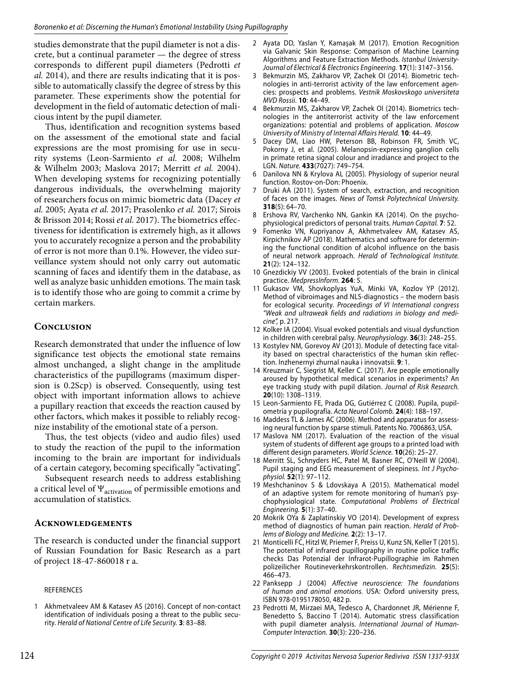studies demonstrate that the pupil diameter is not a discrete, but a continual parameter — the degree of stress corresponds to different pupil diameters (Pedrotti *et al.* 2014), and there are results indicating that it is possible to automatically classify the degree of stress by this parameter. These experiments show the potential for development in the field of automatic detection of malicious intent by the pupil diameter.

Thus, identification and recognition systems based on the assessment of the emotional state and facial expressions are the most promising for use in security systems (Leon-Sarmiento *et al.* 2008; Wilhelm & Wilhelm 2003; Maslova 2017; Merritt *et al.* 2004). When developing systems for recognizing potentially dangerous individuals, the overwhelming majority of researchers focus on mimic biometric data (Dacey *et al.* 2005; Ayata *et al.* 2017; Prasolenko *et al.* 2017; Sirois & Brisson 2014; Rossi *et al.* 2017). The biometrics effectiveness for identification is extremely high, as it allows you to accurately recognize a person and the probability of error is not more than 0.1%. However, the video surveillance system should not only carry out automatic scanning of faces and identify them in the database, as well as analyze basic unhidden emotions. The main task is to identify those who are going to commit a crime by certain markers.

# **Conclusion**

Research demonstrated that under the influence of low significance test objects the emotional state remains almost unchanged, a slight change in the amplitude characteristics of the pupillograms (maximum dispersion is 0.2Scp) is observed. Consequently, using test object with important information allows to achieve a pupillary reaction that exceeds the reaction caused by other factors, which makes it possible to reliably recognize instability of the emotional state of a person.

Thus, the test objects (video and audio files) used to study the reaction of the pupil to the information incoming to the brain are important for individuals of a certain category, becoming specifically "activating".

Subsequent research needs to address establishing a critical level of  $\Psi_{\text{activation}}$  of permissible emotions and accumulation of statistics.

## **Acknowledgements**

The research is conducted under the financial support of Russian Foundation for Basic Research as a part of project 18-47-860018 r a.

#### REFERENCES

1 Akhmetvaleev AM & Katasev AS (2016). Concept of non-contact identification of individuals posing a threat to the public security. Herald of National Centre of Life Security. **3**: 83–88.

- 2 Ayata DD, Yaslan Y, Kamaşak M (2017). Emotion Recognition via Galvanic Skin Response: Comparison of Machine Learning Algorithms and Feature Extraction Methods. Istanbul University-Journal of Electrical & Electronics Engineering. **17**(1): 3147–3156.
- 3 Bekmurzin MS, Zakharov VP, Zachek OI (2014). Biometric technologies in anti-terrorist activity of the law enforcement agencies: prospects and problems. Vestnik Moskovskogo universiteta MVD Rossii. **10**: 44–49.
- 4 Bekmurzin MS, Zakharov VP, Zachek OI (2014). Biometrics technologies in the antiterrorist activity of the law enforcement organizations: potential and problems of application. Moscow University of Ministry of Internal Affairs Herald. **10**: 44–49.
- 5 Dacey DM, Liao HW, Peterson BB, Robinson FR, Smith VC, Pokorny J, et al. (2005). Melanopsin-expressing ganglion cells in primate retina signal colour and irradiance and project to the LGN. Nature. **433**(7027): 749–754.
- 6 Danilova NN & Krylova AL (2005). Physiology of superior neural function. Rostov-on-Don: Phoenix.
- 7 Druki AA (2011). System of search, extraction, and recognition of faces on the images. News of Tomsk Polytechnical University. **318**(5): 64–70.
- 8 Ershova RV, Varchenko NN, Gankin KA (2014). On the psychophysiological predictors of personal traits. Human Capital. **7**: 52.
- 9 Fomenko VN, Kupriyanov A, Akhmetvaleev AM, Katasev AS, Kirpichnikov AP (2018). Mathematics and software for determining the functional condition of alcohol influence on the basis of neural network approach. Herald of Technological Institute. **21**(2): 124–132.
- 10 Gnezdickiy VV (2003). Evoked potentials of the brain in clinical practice. MedpressInform. **264**: 5.
- 11 Gukasov VM, Shovkoplyas YuA, Minki VA, Kozlov YP (2012). Method of vibroimages and NLS-diagnostics – the modern basis for ecological security. Proceedings of VI International congress "Weak and ultraweak fields and radiations in biology and medicine", p. 217.
- 12 Kolker IA (2004). Visual evoked potentials and visual dysfunction in children with cerebral palsy. Neurophysiology. **36**(3): 248–255.
- 13 Kostylev NM, Gorevoy AV (2013). Module of detecting face vitality based on spectral characteristics of the human skin reflection. Inzhenernyi zhurnal nauka i innovatsii. **9**: 1.
- 14 Kreuzmair C, Siegrist M, Keller C. (2017). Are people emotionally aroused by hypothetical medical scenarios in experiments? An eye tracking study with pupil dilation. Journal of Risk Research. **20**(10): 1308–1319.
- 15 Leon-Sarmiento FE, Prada DG, Gutiérrez C (2008). Pupila, pupilometría y pupilografía. Acta Neurol Colomb. **24**(4): 188–197.
- 16 Maddess TL & James AC (2006). Method and apparatus for assessing neural function by sparse stimuli. Patents No. 7006863, USA.
- 17 Maslova NM (2017). Evaluation of the reaction of the visual system of students of different age groups to a printed load with different design parameters. World Science. **10**(26): 25–27.
- 18 Merritt SL, Schnyders HC, Patel M, Basner RC, O'Neill W (2004). Pupil staging and EEG measurement of sleepiness. Int J Psychophysiol. **52**(1): 97–112.
- 19 Meshchaninov S & Ldovskaya A (2015). Mathematical model of an adaptive system for remote monitoring of human's psychophysiological state. Computational Problems of Electrical Engineering. **5**(1): 37–40.
- 20 Mokrik OYa & Zaplatinskiy VO (2014). Development of express method of diagnostics of human pain reaction. Herald of Problems of Biology and Medicine. **2**(2): 13–17.
- 21 Monticelli FC, Hitzl W, Priemer F, Preiss U, Kunz SN, Keller T (2015). The potential of infrared pupillography in routine police traffic checks Das Potenzial der Infrarot-Pupillographie im Rahmen polizeilicher Routineverkehrskontrollen. Rechtsmedizin. **25**(5): 466–473.
- 22 Panksepp J (2004) Affective neuroscience: The foundations of human and animal emotions. USA: Oxford university press, ISBN 978-0195178050, 482 p.
- 23 Pedrotti M, Mirzaei MA, Tedesco A, Chardonnet JR, Mérienne F, Benedetto S, Baccino T (2014). Automatic stress classification with pupil diameter analysis. International Journal of Human-Computer Interaction. **30**(3): 220–236.